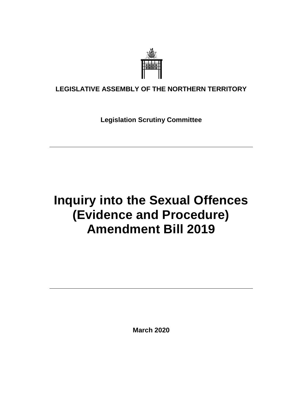

### **LEGISLATIVE ASSEMBLY OF THE NORTHERN TERRITORY**

**Legislation Scrutiny Committee**

# **Inquiry into the Sexual Offences (Evidence and Procedure) Amendment Bill 2019**

**March 2020**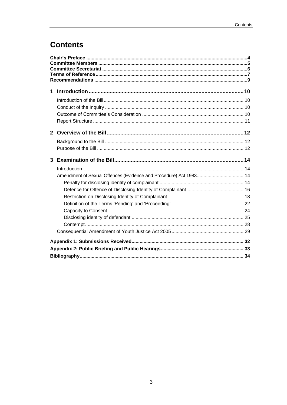## **Contents**

| 1              |                                                                   |  |  |
|----------------|-------------------------------------------------------------------|--|--|
|                |                                                                   |  |  |
|                |                                                                   |  |  |
|                |                                                                   |  |  |
|                |                                                                   |  |  |
| $\overline{2}$ |                                                                   |  |  |
|                |                                                                   |  |  |
|                |                                                                   |  |  |
| 3              |                                                                   |  |  |
|                |                                                                   |  |  |
|                | Amendment of Sexual Offences (Evidence and Procedure) Act 1983 14 |  |  |
|                |                                                                   |  |  |
|                |                                                                   |  |  |
|                |                                                                   |  |  |
|                |                                                                   |  |  |
|                |                                                                   |  |  |
|                |                                                                   |  |  |
|                |                                                                   |  |  |
|                |                                                                   |  |  |
|                |                                                                   |  |  |
|                |                                                                   |  |  |
|                |                                                                   |  |  |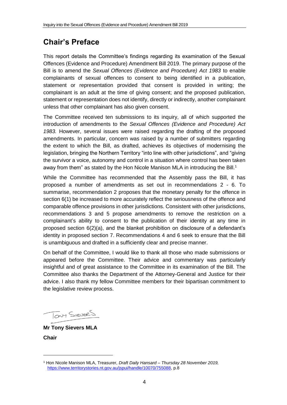## <span id="page-3-0"></span>**Chair's Preface**

This report details the Committee's findings regarding its examination of the Sexual Offences (Evidence and Procedure) Amendment Bill 2019. The primary purpose of the Bill is to amend the *Sexual Offences (Evidence and Procedure) Act 1983* to enable complainants of sexual offences to consent to being identified in a publication, statement or representation provided that consent is provided in writing; the complainant is an adult at the time of giving consent; and the proposed publication, statement or representation does not identify, directly or indirectly, another complainant unless that other complainant has also given consent.

The Committee received ten submissions to its inquiry, all of which supported the introduction of amendments to the *Sexual Offences (Evidence and Procedure) Act 1983.* However, several issues were raised regarding the drafting of the proposed amendments. In particular, concern was raised by a number of submitters regarding the extent to which the Bill, as drafted, achieves its objectives of modernising the legislation, bringing the Northern Territory "into line with other jurisdictions", and "giving the survivor a voice, autonomy and control in a situation where control has been taken away from them" as stated by the Hon Nicole Manison MLA in introducing the Bill.<sup>1</sup>

While the Committee has recommended that the Assembly pass the Bill, it has proposed a number of amendments as set out in recommendations 2 - 6. To summarise, recommendation 2 proposes that the monetary penalty for the offence in section 6(1) be increased to more accurately reflect the seriousness of the offence and comparable offence provisions in other jurisdictions. Consistent with other jurisdictions, recommendations 3 and 5 propose amendments to remove the restriction on a complainant's ability to consent to the publication of their identity at any time in proposed section 6(2)(a), and the blanket prohibition on disclosure of a defendant's identity in proposed section 7. Recommendations 4 and 6 seek to ensure that the Bill is unambiguous and drafted in a sufficiently clear and precise manner.

On behalf of the Committee, I would like to thank all those who made submissions or appeared before the Committee. Their advice and commentary was particularly insightful and of great assistance to the Committee in its examination of the Bill. The Committee also thanks the Department of the Attorney-General and Justice for their advice. I also thank my fellow Committee members for their bipartisan commitment to the legislative review process.

Tony SIEVERS

**Mr Tony Sievers MLA Chair**

<sup>1</sup> Hon Nicole Manison MLA, Treasurer, *Draft Daily Hansard – Thursday 28 November 2019,*  [https://www.territorystories.nt.gov.au/jspui/handle/10070/755088,](https://www.territorystories.nt.gov.au/jspui/handle/10070/755088) p.8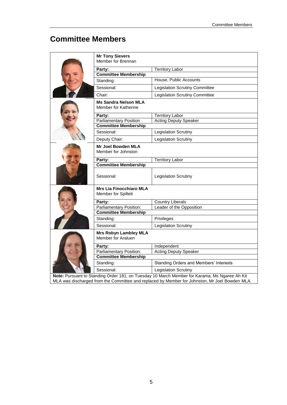## <span id="page-4-0"></span>**Committee Members**

|                                                                                               | <b>Mr Tony Sievers</b>                                |                                        |  |  |
|-----------------------------------------------------------------------------------------------|-------------------------------------------------------|----------------------------------------|--|--|
|                                                                                               | Member for Brennan                                    |                                        |  |  |
|                                                                                               | Party:                                                | <b>Territory Labor</b>                 |  |  |
|                                                                                               | <b>Committee Membership</b>                           |                                        |  |  |
|                                                                                               | Standing:                                             | House, Public Accounts                 |  |  |
|                                                                                               | Sessional:                                            | Legislation Scrutiny Committee         |  |  |
|                                                                                               | Chair:                                                | <b>Legislation Scrutiny Committee</b>  |  |  |
|                                                                                               | <b>Ms Sandra Nelson MLA</b><br>Member for Katherine   |                                        |  |  |
|                                                                                               | Party:                                                | <b>Territory Labor</b>                 |  |  |
|                                                                                               | <b>Parliamentary Position</b>                         | <b>Acting Deputy Speaker</b>           |  |  |
|                                                                                               | <b>Committee Membership</b>                           |                                        |  |  |
|                                                                                               | Sessional:                                            | Legislation Scrutiny                   |  |  |
|                                                                                               | Deputy Chair:                                         | <b>Legislation Scrutiny</b>            |  |  |
|                                                                                               | Mr Joel Bowden MLA<br>Member for Johnston             |                                        |  |  |
|                                                                                               | Party:                                                | <b>Territory Labor</b>                 |  |  |
|                                                                                               | <b>Committee Membership</b>                           |                                        |  |  |
|                                                                                               | Sessional:                                            | Legislation Scrutiny                   |  |  |
|                                                                                               | <b>Mrs Lia Finocchiaro MLA</b><br>Member for Spillett |                                        |  |  |
|                                                                                               | Party:                                                | Country Liberals                       |  |  |
|                                                                                               | Parliamentary Position:                               | Leader of the Opposition               |  |  |
|                                                                                               | <b>Committee Membership</b>                           |                                        |  |  |
|                                                                                               | Standing:                                             | Privileges                             |  |  |
|                                                                                               | Sessional:                                            | <b>Legislation Scrutiny</b>            |  |  |
|                                                                                               | <b>Mrs Robyn Lambley MLA</b><br>Member for Araluen    |                                        |  |  |
|                                                                                               | Party:                                                | Independent                            |  |  |
|                                                                                               | Parliamentary Position:                               | <b>Acting Deputy Speaker</b>           |  |  |
|                                                                                               | <b>Committee Membership</b>                           |                                        |  |  |
|                                                                                               | Standing:                                             | Standing Orders and Members' Interests |  |  |
|                                                                                               | Sessional:                                            | Legislation Scrutiny                   |  |  |
| Note: Pursuant to Standing Order 181, on Tuesday 10 March Member for Karama, Ms Ngaree Ah Kit |                                                       |                                        |  |  |

MLA was discharged from the Committee and replaced by Member for Johnston, Mr Joel Bowden MLA.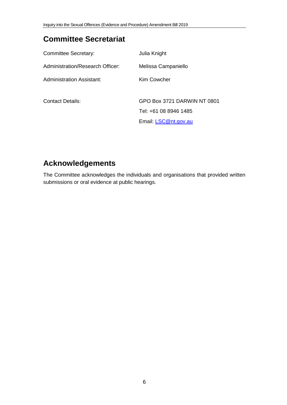## <span id="page-5-0"></span>**Committee Secretariat**

| <b>Committee Secretary:</b>      | Julia Knight                |
|----------------------------------|-----------------------------|
| Administration/Research Officer: | Melissa Campaniello         |
| <b>Administration Assistant:</b> | Kim Cowcher                 |
| Contact Details:                 | GPO Box 3721 DARWIN NT 0801 |
|                                  | Tel: +61 08 8946 1485       |
|                                  | Email: LSC@nt.gov.au        |

## **Acknowledgements**

The Committee acknowledges the individuals and organisations that provided written submissions or oral evidence at public hearings.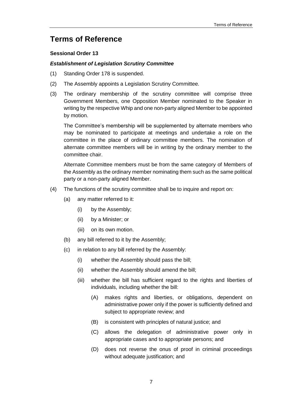### <span id="page-6-0"></span>**Terms of Reference**

#### **Sessional Order 13**

#### *Establishment of Legislation Scrutiny Committee*

- (1) Standing Order 178 is suspended.
- (2) The Assembly appoints a Legislation Scrutiny Committee.
- (3) The ordinary membership of the scrutiny committee will comprise three Government Members, one Opposition Member nominated to the Speaker in writing by the respective Whip and one non-party aligned Member to be appointed by motion.

The Committee's membership will be supplemented by alternate members who may be nominated to participate at meetings and undertake a role on the committee in the place of ordinary committee members. The nomination of alternate committee members will be in writing by the ordinary member to the committee chair.

Alternate Committee members must be from the same category of Members of the Assembly as the ordinary member nominating them such as the same political party or a non-party aligned Member.

- (4) The functions of the scrutiny committee shall be to inquire and report on:
	- (a) any matter referred to it:
		- (i) by the Assembly;
		- (ii) by a Minister; or
		- (iii) on its own motion.
	- (b) any bill referred to it by the Assembly;
	- (c) in relation to any bill referred by the Assembly:
		- (i) whether the Assembly should pass the bill;
		- (ii) whether the Assembly should amend the bill;
		- (iii) whether the bill has sufficient regard to the rights and liberties of individuals, including whether the bill:
			- (A) makes rights and liberties, or obligations, dependent on administrative power only if the power is sufficiently defined and subject to appropriate review; and
			- (B) is consistent with principles of natural justice; and
			- (C) allows the delegation of administrative power only in appropriate cases and to appropriate persons; and
			- (D) does not reverse the onus of proof in criminal proceedings without adequate justification; and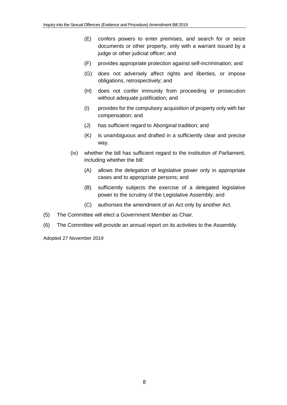- (E) confers powers to enter premises, and search for or seize documents or other property, only with a warrant issued by a judge or other judicial officer; and
- (F) provides appropriate protection against self-incrimination; and
- (G) does not adversely affect rights and liberties, or impose obligations, retrospectively; and
- (H) does not confer immunity from proceeding or prosecution without adequate justification; and
- (I) provides for the compulsory acquisition of property only with fair compensation; and
- (J) has sufficient regard to Aboriginal tradition; and
- (K) is unambiguous and drafted in a sufficiently clear and precise way.
- (iv) whether the bill has sufficient regard to the institution of Parliament, including whether the bill:
	- (A) allows the delegation of legislative power only in appropriate cases and to appropriate persons; and
	- (B) sufficiently subjects the exercise of a delegated legislative power to the scrutiny of the Legislative Assembly; and
	- (C) authorises the amendment of an Act only by another Act.
- (5) The Committee will elect a Government Member as Chair.
- (6) The Committee will provide an annual report on its activities to the Assembly.

Adopted 27 November 2019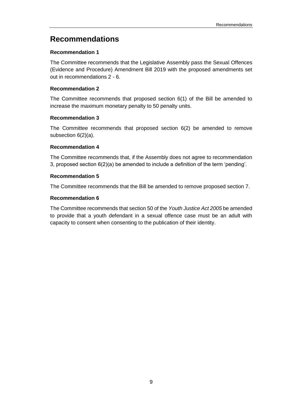### <span id="page-8-0"></span>**Recommendations**

#### **[Recommendation 1](#page-9-4)**

[The Committee recommends that the Legislative Assembly pass the Sexual Offences](#page-9-5)  [\(Evidence and Procedure\) Amendment Bill 2019 with the proposed amendments set](#page-9-5)  [out in recommendations 2 -](#page-9-5) 6.

#### **[Recommendation 2](#page-15-1)**

[The Committee recommends that proposed section 6\(1\) of the Bill be amended to](#page-15-2)  [increase the maximum monetary penalty to 50 penalty units.](#page-15-2)

#### **[Recommendation 3](#page-21-1)**

[The Committee recommends that proposed section 6\(2\) be amended to remove](#page-21-2)  [subsection 6\(2\)\(a\).](#page-21-2)

#### **[Recommendation 4](#page-23-1)**

[The Committee recommends that, if the Assembly does not agree to recommendation](#page-23-2)  [3, proposed section 6\(2\)\(a\) be amended to include a definition of the term 'pending'.](#page-23-2)

#### **[Recommendation 5](#page-27-1)**

[The Committee recommends that the Bill be amended to remove proposed section 7.](#page-27-2)

#### **[Recommendation 6](#page-30-0)**

[The Committee recommends that section 50 of the](#page-30-1) *Youth Justice Act 2005* be amended [to provide that a youth defendant in a sexual offence case must be an adult with](#page-30-1)  [capacity to consent when consenting to the publication of their identity.](#page-30-1)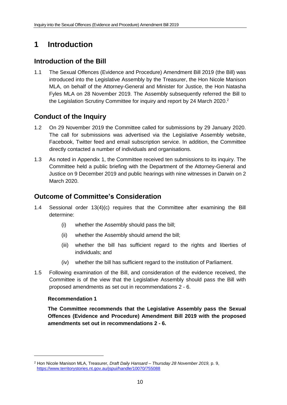## <span id="page-9-0"></span>**1 Introduction**

### <span id="page-9-1"></span>**Introduction of the Bill**

1.1 The Sexual Offences (Evidence and Procedure) Amendment Bill 2019 (the Bill) was introduced into the Legislative Assembly by the Treasurer, the Hon Nicole Manison MLA, on behalf of the Attorney-General and Minister for Justice, the Hon Natasha Fyles MLA on 28 November 2019. The Assembly subsequently referred the Bill to the Legislation Scrutiny Committee for inquiry and report by 24 March 2020.<sup>2</sup>

### <span id="page-9-2"></span>**Conduct of the Inquiry**

- 1.2 On 29 November 2019 the Committee called for submissions by 29 January 2020. The call for submissions was advertised via the Legislative Assembly website, Facebook, Twitter feed and email subscription service. In addition, the Committee directly contacted a number of individuals and organisations.
- 1.3 As noted in Appendix 1, the Committee received ten submissions to its inquiry. The Committee held a public briefing with the Department of the Attorney-General and Justice on 9 December 2019 and public hearings with nine witnesses in Darwin on 2 March 2020.

### <span id="page-9-3"></span>**Outcome of Committee's Consideration**

- 1.4 Sessional order 13(4)(c) requires that the Committee after examining the Bill determine:
	- (i) whether the Assembly should pass the bill;
	- (ii) whether the Assembly should amend the bill;
	- (iii) whether the bill has sufficient regard to the rights and liberties of individuals; and
	- (iv) whether the bill has sufficient regard to the institution of Parliament.
- 1.5 Following examination of the Bill, and consideration of the evidence received, the Committee is of the view that the Legislative Assembly should pass the Bill with proposed amendments as set out in recommendations 2 - 6.

#### <span id="page-9-4"></span>**Recommendation 1**

 $\overline{a}$ 

<span id="page-9-5"></span>**The Committee recommends that the Legislative Assembly pass the Sexual Offences (Evidence and Procedure) Amendment Bill 2019 with the proposed amendments set out in recommendations 2 - 6.**

<sup>2</sup> Hon Nicole Manison MLA, Treasurer, *Draft Daily Hansard – Thursday 28 November 2019,* p. 9, <https://www.territorystories.nt.gov.au/jspui/handle/10070/755088>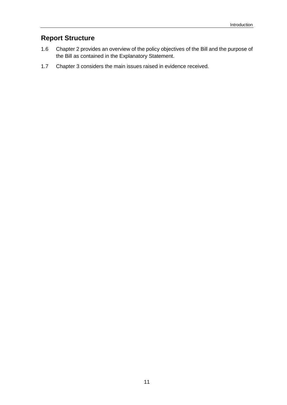### <span id="page-10-0"></span>**Report Structure**

- 1.6 Chapter 2 provides an overview of the policy objectives of the Bill and the purpose of the Bill as contained in the Explanatory Statement.
- 1.7 Chapter 3 considers the main issues raised in evidence received.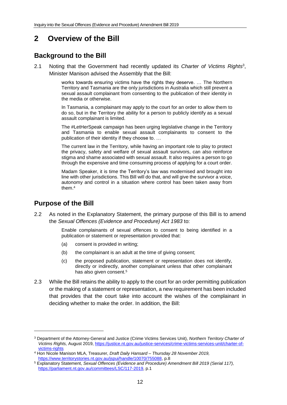### <span id="page-11-0"></span>**2 Overview of the Bill**

### <span id="page-11-1"></span>**Background to the Bill**

2.1 Noting that the Government had recently updated its *Charter of Victims Rights*<sup>3</sup> , Minister Manison advised the Assembly that the Bill:

> works towards ensuring victims have the rights they deserve. … The Northern Territory and Tasmania are the only jurisdictions in Australia which still prevent a sexual assault complainant from consenting to the publication of their identity in the media or otherwise.

> In Tasmania, a complainant may apply to the court for an order to allow them to do so, but in the Territory the ability for a person to publicly identify as a sexual assault complainant is limited.

> The #LetHerSpeak campaign has been urging legislative change in the Territory and Tasmania to enable sexual assault complainants to consent to the publication of their identity if they choose to. …

> The current law in the Territory, while having an important role to play to protect the privacy, safety and welfare of sexual assault survivors, can also reinforce stigma and shame associated with sexual assault. It also requires a person to go through the expensive and time consuming process of applying for a court order.

> Madam Speaker, it is time the Territory's law was modernised and brought into line with other jurisdictions. This Bill will do that, and will give the survivor a voice, autonomy and control in a situation where control has been taken away from them<sup>4</sup>

### <span id="page-11-2"></span>**Purpose of the Bill**

2.2 As noted in the Explanatory Statement, the primary purpose of this Bill is to amend the *Sexual Offences (Evidence and Procedure) Act 1983* to:

> Enable complainants of sexual offences to consent to being identified in a publication or statement or representation provided that:

- (a) consent is provided in writing;
- (b) the complainant is an adult at the time of giving consent;
- (c) the proposed publication, statement or representation does not identify, directly or indirectly, another complainant unless that other complainant has also given consent.<sup>5</sup>
- 2.3 While the Bill retains the ability to apply to the court for an order permitting publication or the making of a statement or representation, a new requirement has been included that provides that the court take into account the wishes of the complainant in deciding whether to make the order. In addition, the Bill:

<sup>3</sup> Department of the Attorney-General and Justice (Crime Victims Services Unit), *Northern Territory Charter of Victims Rights,* August 2019, [https://justice.nt.gov.au/justice-services/crime-victims-services-unit/charter-of](https://justice.nt.gov.au/justice-services/crime-victims-services-unit/charter-of-victims-rights)[victims-rights](https://justice.nt.gov.au/justice-services/crime-victims-services-unit/charter-of-victims-rights)

<sup>4</sup> Hon Nicole Manison MLA, Treasurer, *Draft Daily Hansard – Thursday 28 November 2019,*  [https://www.territorystories.nt.gov.au/jspui/handle/10070/755088,](https://www.territorystories.nt.gov.au/jspui/handle/10070/755088) p.8

<sup>5</sup> Explanatory Statement, *Sexual Offences (Evidence and Procedure) Amendment Bill 2019 (Serial 117),*  [https://parliament.nt.gov.au/committees/LSC/117-2019,](https://parliament.nt.gov.au/committees/LSC/117-2019) p.1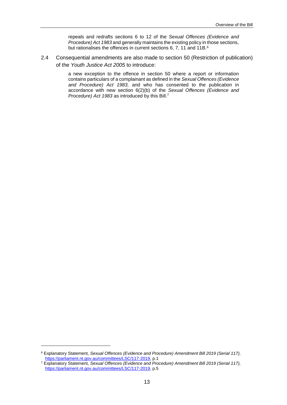repeals and redrafts sections 6 to 12 of the *Sexual Offences (Evidence and Procedure) Act 1983* and generally maintains the existing policy in those sections, but rationalises the offences in current sections 6, 7, 11 and 11B.<sup>6</sup>

2.4 Consequential amendments are also made to section 50 (Restriction of publication) of the *Youth Justice Act 2005* to introduce:

> a new exception to the offence in section 50 where a report or information contains particulars of a complainant as defined in the *Sexual Offences (Evidence and Procedure) Act 1983,* and who has consented to the publication in accordance with new section 6(2)(b) of the *Sexual Offences (Evidence and Procedure) Act 1983* as introduced by this Bill.<sup>7</sup>

<sup>6</sup> Explanatory Statement, *Sexual Offences (Evidence and Procedure) Amendment Bill 2019 (Serial 117),*  [https://parliament.nt.gov.au/committees/LSC/117-2019,](https://parliament.nt.gov.au/committees/LSC/117-2019) p.1

<sup>7</sup> Explanatory Statement, *Sexual Offences (Evidence and Procedure) Amendment Bill 2019 (Serial 117),*  [https://parliament.nt.gov.au/committees/LSC/117-2019,](https://parliament.nt.gov.au/committees/LSC/117-2019) p.5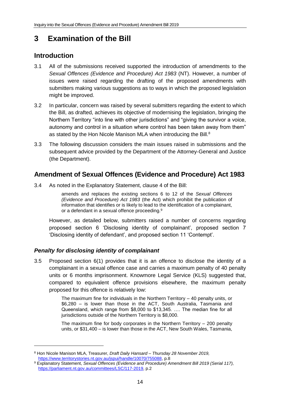## <span id="page-13-0"></span>**3 Examination of the Bill**

### <span id="page-13-1"></span>**Introduction**

- 3.1 All of the submissions received supported the introduction of amendments to the *Sexual Offences (Evidence and Procedure) Act 1983* (NT). However, a number of issues were raised regarding the drafting of the proposed amendments with submitters making various suggestions as to ways in which the proposed legislation might be improved.
- 3.2 In particular, concern was raised by several submitters regarding the extent to which the Bill, as drafted, achieves its objective of modernising the legislation, bringing the Northern Territory "into line with other jurisdictions" and "giving the survivor a voice, autonomy and control in a situation where control has been taken away from them" as stated by the Hon Nicole Manison MLA when introducing the Bill.<sup>8</sup>
- 3.3 The following discussion considers the main issues raised in submissions and the subsequent advice provided by the Department of the Attorney-General and Justice (the Department).

### <span id="page-13-2"></span>**Amendment of Sexual Offences (Evidence and Procedure) Act 1983**

3.4 As noted in the Explanatory Statement, clause 4 of the Bill:

amends and replaces the existing sections 6 to 12 of the *Sexual Offences (Evidence and Procedure) Act 1983* (the Act) which prohibit the publication of information that identifies or is likely to lead to the identification of a complainant, or a defendant in a sexual offence proceeding.<sup>9</sup>

However, as detailed below, submitters raised a number of concerns regarding proposed section 6 'Disclosing identity of complainant', proposed section 7 'Disclosing identity of defendant', and proposed section 11 'Contempt'.

### <span id="page-13-3"></span>*Penalty for disclosing identity of complainant*

3.5 Proposed section 6(1) provides that it is an offence to disclose the identity of a complainant in a sexual offence case and carries a maximum penalty of 40 penalty units or 6 months imprisonment. Knowmore Legal Service (KLS) suggested that, compared to equivalent offence provisions elsewhere, the maximum penalty proposed for this offence is relatively low:

> The maximum fine for individuals in the Northern Territory – 40 penalty units, or \$6,280 – is lower than those in the ACT, South Australia, Tasmania and Queensland, which range from \$8,000 to \$13,345. …. The median fine for all jurisdictions outside of the Northern Territory is \$8,000.

> The maximum fine for body corporates in the Northern Territory – 200 penalty units, or \$31,400 – is lower than those in the ACT, New South Wales, Tasmania,

<sup>8</sup> Hon Nicole Manison MLA, Treasurer, *Draft Daily Hansard – Thursday 28 November 2019,*  [https://www.territorystories.nt.gov.au/jspui/handle/10070/755088,](https://www.territorystories.nt.gov.au/jspui/handle/10070/755088) p.8

<sup>9</sup> Explanatory Statement, *Sexual Offences (Evidence and Procedure) Amendment Bill 2019 (Serial 117),*  [https://parliament.nt.gov.au/committees/LSC/117-2019,](https://parliament.nt.gov.au/committees/LSC/117-2019) p.2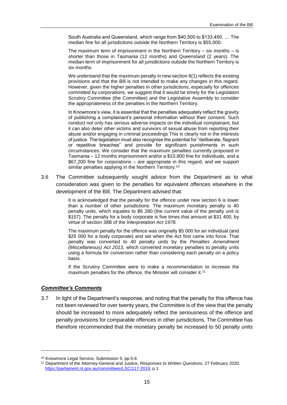South Australia and Queensland, which range from \$40,500 to \$133,450. … The median fine for all jurisdictions outside the Northern Territory is \$55,000.

The maximum term of imprisonment in the Northern Territory  $-$  six months  $-$  is shorter than those in Tasmania (12 months) and Queensland (2 years). The median term of imprisonment for all jurisdictions outside the Northern Territory is six months.

We understand that the maximum penalty in new section 6(1) reflects the existing provisions and that the Bill is not intended to make any changes in this regard. However, given the higher penalties in other jurisdictions, especially for offences committed by corporations, we suggest that it would be timely for the Legislation Scrutiny Committee (the Committee) and the Legislative Assembly to consider the appropriateness of the penalties in the Northern Territory.

In Knowmore's view, it is essential that the penalties adequately reflect the gravity of publishing a complainant's personal information without their consent. Such conduct not only has serious adverse impacts on the individual complainant, but it can also deter other victims and survivors of sexual abuse from reporting their abuse and/or engaging in criminal proceedings This is clearly not in the interests of justice. The legislation must also recognise the potential for "deliberate, flagrant or repetitive breaches" and provide for significant punishments in such circumstances. We consider that the maximum penalties currently proposed in Tasmania – 12 months imprisonment and/or a \$10,800 fine for individuals, and a \$67,200 fine for corporations – are appropriate in this regard, and we support similar penalties applying in the Northern Territory.<sup>10</sup>

3.6 The Committee subsequently sought advice from the Department as to what consideration was given to the penalties for equivalent offences elsewhere in the development of the Bill. The Department advised that:

> It is acknowledged that the penalty for the offence under new section 6 is lower than a number of other jurisdictions. The maximum monetary penalty is 40 penalty units, which equates to \$6 280 (the current value of the penalty unit is \$157). The penalty for a body corporate is five times that amount at \$31 400, by virtue of section 38B of the *Interpretation Act 1978.*

> The maximum penalty for the offence was originally \$5 000 for an individual (and \$25 000 for a body corporate) and set when the Act first came into force. That penalty was converted to 40 penalty units by the *Penalties Amendment (Miscellaneous) Act 2013,* which converted monetary penalties to penalty units using a formula for conversion rather than considering each penalty on a policy basis.

> If the Scrutiny Committee were to make a recommendation to increase the maximum penalties for the offence, the Minister will consider it.<sup>11</sup>

#### *Committee's Comments*

-

3.7 In light of the Department's response, and noting that the penalty for this offence has not been reviewed for over twenty years, the Committee is of the view that the penalty should be increased to more adequately reflect the seriousness of the offence and penalty provisions for comparable offences in other jurisdictions. The Committee has therefore recommended that the monetary penalty be increased to 50 penalty units

<sup>10</sup> Knowmore Legal Service, Submission 5, pp.5-6

<sup>11</sup> Department of the Attorney-General and Justice, *Responses to Written Questions,* 27 February 2020, [https://parliament.nt.gov.au/committees/LSC/117-2019,](https://parliament.nt.gov.au/committees/LSC/117-2019) p.1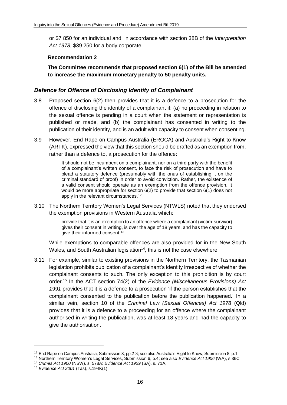or \$7 850 for an individual and, in accordance with section 38B of the *Interpretation Act 1978*, \$39 250 for a body corporate.

#### <span id="page-15-1"></span>**Recommendation 2**

<span id="page-15-2"></span>**The Committee recommends that proposed section 6(1) of the Bill be amended to increase the maximum monetary penalty to 50 penalty units.**

#### <span id="page-15-0"></span>*Defence for Offence of Disclosing Identity of Complainant*

- 3.8 Proposed section 6(2) then provides that it is a defence to a prosecution for the offence of disclosing the identity of a complainant if: (a) no proceeding in relation to the sexual offence is pending in a court when the statement or representation is published or made, and (b) the complainant has consented in writing to the publication of their identity, and is an adult with capacity to consent when consenting.
- 3.9 However, End Rape on Campus Australia (EROCA) and Australia's Right to Know (ARTK), expressed the view that this section should be drafted as an exemption from, rather than a defence to, a prosecution for the offence:

It should not be incumbent on a complainant, nor on a third party with the benefit of a complainant's written consent, to face the risk of prosecution and have to plead a statutory defence (presumably with the onus of establishing it on the criminal standard of proof) in order to avoid conviction. Rather, the existence of a valid consent should operate as an exemption from the offence provision. It would be more appropriate for section 6(2) to provide that section 6(1) does not apply in the relevant circumstances.<sup>12</sup>

3.10 The Northern Territory Women's Legal Services (NTWLS) noted that they endorsed the exemption provisions in Western Australia which:

> provide that it is an exemption to an offence where a complainant (victim-survivor) gives their consent in writing, is over the age of 18 years, and has the capacity to give their informed consent.<sup>13</sup>

While exemptions to comparable offences are also provided for in the New South Wales, and South Australian legislation<sup>14</sup>, this is not the case elsewhere.

3.11 For example, similar to existing provisions in the Northern Territory, the Tasmanian legislation prohibits publication of a complainant's identity irrespective of whether the complainant consents to such. The only exception to this prohibition is by court order.<sup>15</sup> In the ACT section 74(2) of the *Evidence (Miscellaneous Provisions) Act 1991* provides that it is a defence to a prosecution 'if the person establishes that the complainant consented to the publication before the publication happened.' In a similar vein, section 10 of the *Criminal Law (Sexual Offences) Act 1978* (Qld) provides that it is a defence to a proceeding for an offence where the complainant authorised in writing the publication, was at least 18 years and had the capacity to give the authorisation.

 $12$  End Rape on Campus Australia, Submission 3, pp.2-3; see also Australia's Right to Know, Submission 8, p.1

<sup>13</sup> Northern Territory Women's Legal Services, Submission 6, p.4; see also *Evidence Act 1906* (WA), s.36C

<sup>14</sup> *Crimes Act 1900* (NSW), s. 578A; *Evidence Act 1929* (SA), s. 71A,

<sup>15</sup> *Evidence Act 2001* (Tas), s.194K(1)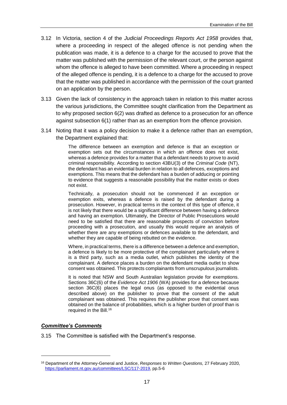- 3.12 In Victoria, section 4 of the *Judicial Proceedings Reports Act 1958* provides that, where a proceeding in respect of the alleged offence is not pending when the publication was made, it is a defence to a charge for the accused to prove that the matter was published with the permission of the relevant court, or the person against whom the offence is alleged to have been committed. Where a proceeding in respect of the alleged offence is pending, it is a defence to a charge for the accused to prove that the matter was published in accordance with the permission of the court granted on an application by the person.
- 3.13 Given the lack of consistency in the approach taken in relation to this matter across the various jurisdictions, the Committee sought clarification from the Department as to why proposed section 6(2) was drafted as defence to a prosecution for an offence against subsection 6(1) rather than as an exemption from the offence provision.
- 3.14 Noting that it was a policy decision to make it a defence rather than an exemption, the Department explained that:

The difference between an exemption and defence is that an exception or exemption sets out the circumstances in which an offence does not exist, whereas a defence provides for a matter that a defendant needs to prove to avoid criminal responsibility. According to section 43BU(3) of the *Criminal Code* (NT), the defendant has an evidential burden in relation to all defences, exceptions and exemptions. This means that the defendant has a burden of adducing or pointing to evidence that suggests a reasonable possibility that the matter exists or does not exist.

Technically, a prosecution should not be commenced if an exception or exemption exits, whereas a defence is raised by the defendant during a prosecution. However, in practical terms in the context of this type of offence, it is not likely that there would be a significant difference between having a defence and having an exemption. Ultimately, the Director of Public Prosecutions would need to be satisfied that there are reasonable prospects of conviction before proceeding with a prosecution, and usually this would require an analysis of whether there are any exemptions or defences available to the defendant, and whether they are capable of being rebutted on the evidence.

Where, in practical terms, there is a difference between a defence and exemption, a defence is likely to be more protective of the complainant particularly where it is a third party, such as a media outlet, which publishes the identity of the complainant. A defence places a burden on the defendant media outlet to show consent was obtained. This protects complainants from unscrupulous journalists.

It is noted that NSW and South Australian legislation provide for exemptions. Sections 36C(6) of the *Evidence Act 1906* (WA) provides for a defence because section 36C(6) places the legal onus (as opposed to the evidential onus described above) on the publisher to prove that the consent of the adult complainant was obtained. This requires the publisher prove that consent was obtained on the balance of probabilities, which is a higher burden of proof than is required in the Bill.<sup>16</sup>

#### *Committee's Comments*

-

3.15 The Committee is satisfied with the Department's response.

<sup>16</sup> Department of the Attorney-General and Justice, *Responses to Written Questions,* 27 February 2020, [https://parliament.nt.gov.au/committees/LSC/117-2019,](https://parliament.nt.gov.au/committees/LSC/117-2019) pp.5-6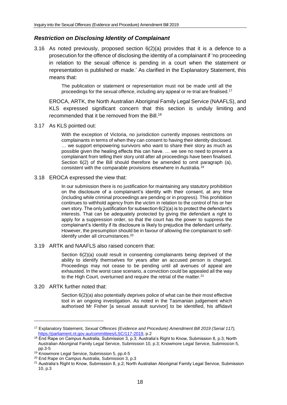#### <span id="page-17-0"></span>*Restriction on Disclosing Identity of Complainant*

3.16 As noted previously, proposed section 6(2)(a) provides that it is a defence to a prosecution for the offence of disclosing the identity of a complainant if 'no proceeding in relation to the sexual offence is pending in a court when the statement or representation is published or made.' As clarified in the Explanatory Statement, this means that:

> The publication or statement or representation must not be made until all the proceedings for the sexual offence, including any appeal or re-trial are finalised.<sup>17</sup>

EROCA, ARTK, the North Australian Aboriginal Family Legal Service (NAAFLS), and KLS expressed significant concern that this section is unduly limiting and recommended that it be removed from the Bill.<sup>18</sup>

3.17 As KLS pointed out:

With the exception of Victoria, no jurisdiction currently imposes restrictions on complainants in terms of when they can consent to having their identity disclosed. … we support empowering survivors who want to share their story as much as possible given the healing effects this can have. … we see no need to prevent a complainant from telling their story until after all proceedings have been finalised. Section 6(2) of the Bill should therefore be amended to omit paragraph (a), consistent with the comparable provisions elsewhere in Australia.<sup>19</sup>

#### 3.18 EROCA expressed the view that:

In our submission there is no justification for maintaining any statutory prohibition on the disclosure of a complainant's identity with their consent, at any time (including while criminal proceedings are pending or in progress). This prohibition continues to withhold agency from the victim in relation to the control of his or her own story. The only justification for subsection 6(2)(a) is to protect the defendant's interests. That can be adequately protected by giving the defendant a right to apply for a suppression order, so that the court has the power to suppress the complainant's identity if its disclosure is likely to prejudice the defendant unfairly. However, the presumption should be in favour of allowing the complainant to selfidentify under all circumstances.<sup>20</sup>

#### 3.19 ARTK and NAAFLS also raised concern that:

Section 6(2)(a) could result in consenting complainants being deprived of the ability to identify themselves for years after an accused person is charged. Proceedings may not cease to be pending until all avenues of appeal are exhausted. In the worst case scenario, a conviction could be appealed all the way to the High Court, overturned and require the retrial of the matter.<sup>21</sup>

#### 3.20 ARTK further noted that:

Section 6(2)(a) also potentially deprives police of what can be their most effective tool in an ongoing investigation. As noted in the Tasmanian judgement which authorised Mr Fisher [a sexual assault survivor] to be identified, his affidavit

<sup>17</sup> Explanatory Statement, *Sexual Offences (Evidence and Procedure) Amendment Bill 2019 (Serial 117),*  [https://parliament.nt.gov.au/committees/LSC/117-2019,](https://parliament.nt.gov.au/committees/LSC/117-2019) p.2

<sup>18</sup> End Rape on Campus Australia, Submission 3, p.3; Australia's Right to Know, Submission 8, p.3; North Australian Aboriginal Family Legal Service, Submission 10, p.3; Knowmore Legal Service, Submission 5, pp.3-5

<sup>&</sup>lt;sup>19</sup> Knowmore Legal Service, Submission 5, pp.4-5

<sup>20</sup> End Rape on Campus Australia, Submission 3, p.3

<sup>21</sup> Australia's Right to Know, Submission 8, p.2; North Australian Aboriginal Family Legal Service, Submission 10, p.3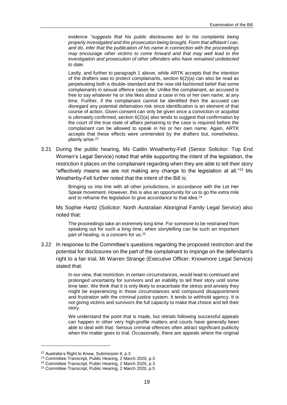evidence *"suggests that his public disclosures led to his complaints being properly investigated and this prosecution being brought. Form that affidavit I can, and do, infer that the publication of his name in connection with the proceedings may encourage other victims to come forward and that may well lead to the investigation and prosecution of other offenders who have remained undetected to date.*

Lastly, and further to paragraph 1 above, while ARTK accepts that the intention of the drafters was to protect complainants, section  $6(2)(a)$  can also be read as perpetuating both a double-standard and the now old-fashioned belief that some complainants in sexual offence cases lie. Unlike the complainant, an accused is free to say whatever he or she likes about a case in his or her own name, at any time. Further, if the complainant cannot be identified then the accused can disregard any potential defamation risk since identification is an element of that course of action. Given consent can only be given once a conviction or acquittal is ultimately confirmed, section  $6(2)(a)$  also tends to suggest that confirmation by the court of the true state of affairs pertaining to the case is required before the complainant can be allowed to speak in his or her own name. Again, ARTK accepts that these effects were unintended by the drafters but, nonetheless, plainly arise.<sup>22</sup>

3.21 During the public hearing, Ms Caitlin Weatherby-Fell (Senior Solicitor: Top End Women's Legal Service) noted that while supporting the intent of the legislation, the restriction it places on the complainant regarding when they are able to tell their story "effectively means we are not making any change to the legislation at all." $23$  Ms Weatherby-Fell further noted that the intent of the Bill is:

> Bringing us into line with all other jurisdictions, in accordance with the Let Her Speak movement. However, this is also an opportunity for us to go the extra mile and to reframe the legislation to give accordance to that idea.<sup>24</sup>

Ms Sophie Hantz (Solicitor: North Australian Aboriginal Family Legal Service) also noted that:

The proceedings take an extremely long time. For someone to be restrained from speaking out for such a long time, when storytelling can be such an important part of healing, is a concern for us.<sup>25</sup>

3.22 In response to the Committee's questions regarding the proposed restriction and the potential for disclosures on the part of the complainant to impinge on the defendant's right to a fair trial, Mr Warren Strange (Executive Officer: Knowmore Legal Service) stated that:

> In our view, that restriction, in certain circumstances, would lead to continued and prolonged uncertainty for survivors and an inability to tell their story until some time later. We think that it is only likely to exacerbate the stress and anxiety they might be experiencing in those circumstances and compound disappointment and frustration with the criminal justice system. It tends to withhold agency. It is not giving victims and survivors the full capacity to make that choice and tell their story.

> We understand the point that is made, but retrials following successful appeals can happen in other very high-profile matters and courts have generally been able to deal with that. Serious criminal offences often attract significant publicity when the matter goes to trial. Occasionally, there are appeals where the original

<sup>22</sup> Australia's Right to Know, Submission 8, p.3

<sup>23</sup> Committee Transcript, Public Hearing, 2 March 2020, p.3

<sup>24</sup> Committee Transcript, Public Hearing, 2 March 2020, p.3

<sup>25</sup> Committee Transcript, Public Hearing, 2 March 2020, p.5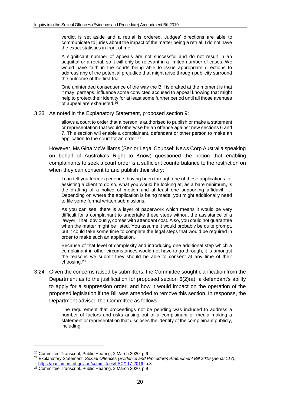verdict is set aside and a retrial is ordered. Judges' directions are able to communicate to juries about the impact of the matter being a retrial. I do not have the exact statistics in front of me.

A significant number of appeals are not successful and do not result in an acquittal or a retrial, so it will only be relevant in a limited number of cases. We would have faith in the courts being able to issue appropriate directions to address any of the potential prejudice that might arise through publicity surround the outcome of the first trial.

One unintended consequence of the way the Bill is drafted at the moment is that it may, perhaps, influence some convicted accused to appeal knowing that might help to protect their identity for at least some further period until all those avenues of appeal are exhausted.<sup>26</sup>

3.23 As noted in the Explanatory Statement, proposed section 9:

allows a court to order that a person is authorised to publish or make a statement or representation that would otherwise be an offence against new sections 6 and 7. This section will enable a complainant, defendant or other person to make an application to the court for an order.<sup>27</sup>

However, Ms Gina McWilliams (Senior Legal Counsel: News Corp Australia speaking on behalf of Australia's Right to Know) questioned the notion that enabling complainants to seek a court order is a sufficient counterbalance to the restriction on when they can consent to and publish their story:

I can tell you from experience, having been through one of these applications, or assisting a client to do so, what you would be looking at, as a bare minimum, is the drafting of a notice of motion and at least one supporting affidavit. … Depending on where the application is being made, you might additionally need to file some formal written submissions.

As you can see, there is a layer of paperwork which means it would be very difficult for a complainant to undertake these steps without the assistance of a lawyer. That, obviously, comes with attendant cost. Also, you could not guarantee when the matter might be listed. You assume it would probably be quite prompt, but it could take some time to complete the legal steps that would be required in order to make such an application.

Because of that level of complexity and introducing one additional step which a complainant in other circumstances would not have to go through, it is amongst the reasons we submit they should be able to consent at any time of their choosing.<sup>28</sup>

3.24 Given the concerns raised by submitters, the Committee sought clarification from the Department as to the justification for proposed section  $6(2)(a)$ ; a defendant's ability to apply for a suppression order; and how it would impact on the operation of the proposed legislation if the Bill was amended to remove this section. In response, the Department advised the Committee as follows:

> The requirement that proceedings not be pending was included to address a number of factors and risks arising out of a complainant or media making a statement or representation that discloses the identity of the complainant publicly, including:

<sup>26</sup> Committee Transcript, Public Hearing, 2 March 2020, p.6

<sup>27</sup> Explanatory Statement, *Sexual Offences (Evidence and Procedure) Amendment Bill 2019 (Serial 117),*  [https://parliament.nt.gov.au/committees/LSC/117-2019,](https://parliament.nt.gov.au/committees/LSC/117-2019) p.3

<sup>&</sup>lt;sup>28</sup> Committee Transcript, Public Hearing, 2 March 2020, p.9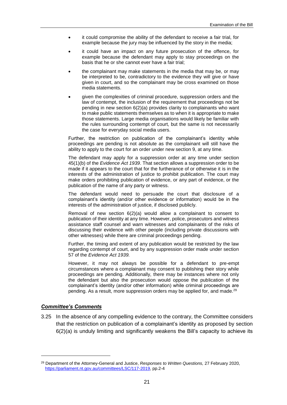- it could compromise the ability of the defendant to receive a fair trial, for example because the jury may be influenced by the story in the media;
- it could have an impact on any future prosecution of the offence, for example because the defendant may apply to stay proceedings on the basis that he or she cannot ever have a fair trial;
- the complainant may make statements in the media that may be, or may be interpreted to be, contradictory to the evidence they will give or have given in court, and so the complainant may be cross examined on those media statements.
- given the complexities of criminal procedure, suppression orders and the law of contempt, the inclusion of the requirement that proceedings not be pending in new section 6(2)(a) provides clarity to complainants who want to make public statements themselves as to when it is appropriate to make those statements. Large media organisations would likely be familiar with the rules surrounding contempt of court, but the same is not necessarily the case for everyday social media users.

Further, the restriction on publication of the complainant's identity while proceedings are pending is not absolute as the complainant will still have the ability to apply to the court for an order under new section 9, at any time.

The defendant may apply for a suppression order at any time under section 45(1)(b) of the *Evidence Act 1939*. That section allows a suppression order to be made if it appears to the court that for the furtherance of or otherwise it is in the interests of the administration of justice to prohibit publication. The court may make orders prohibiting publication of evidence, or any part of evidence, or the publication of the name of any party or witness.

The defendant would need to persuade the court that disclosure of a complainant's identity (and/or other evidence or information) would be in the interests of the administration of justice, if disclosed publicly.

Removal of new section 6(2)(a) would allow a complainant to consent to publication of their identity at any time. However, police, prosecutors and witness assistance staff counsel and warn witnesses and complainants of the risks of discussing their evidence with other people (including private discussions with other witnesses) while there are criminal proceedings pending.

Further, the timing and extent of any publication would be restricted by the law regarding contempt of court, and by any suppression order made under section 57 of the *Evidence Act 1939.* 

However, it may not always be possible for a defendant to pre-empt circumstances where a complainant may consent to publishing their story while proceedings are pending. Additionally, there may be instances where not only the defendant but also the prosecution would oppose the publication of the complainant's identity (and/or other information) while criminal proceedings are pending. As a result, more suppression orders may be applied for, and made.<sup>29</sup>

#### *Committee's Comments*

-

3.25 In the absence of any compelling evidence to the contrary, the Committee considers that the restriction on publication of a complainant's identity as proposed by section 6(2)(a) is unduly limiting and significantly weakens the Bill's capacity to achieve its

<sup>29</sup> Department of the Attorney-General and Justice, *Responses to Written Questions,* 27 February 2020, [https://parliament.nt.gov.au/committees/LSC/117-2019,](https://parliament.nt.gov.au/committees/LSC/117-2019) pp.2-4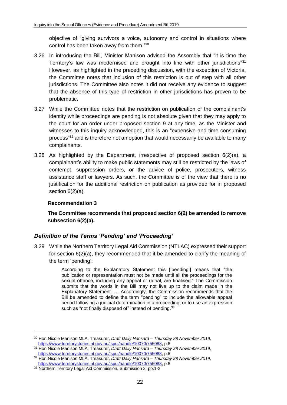objective of "giving survivors a voice, autonomy and control in situations where control has been taken away from them."<sup>30</sup>

- 3.26 In introducing the Bill, Minister Manison advised the Assembly that "it is time the Territory's law was modernised and brought into line with other jurisdictions"<sup>31</sup> However, as highlighted in the preceding discussion, with the exception of Victoria, the Committee notes that inclusion of this restriction is out of step with all other jurisdictions. The Committee also notes it did not receive any evidence to suggest that the absence of this type of restriction in other jurisdictions has proven to be problematic.
- 3.27 While the Committee notes that the restriction on publication of the complainant's identity while proceedings are pending is not absolute given that they may apply to the court for an order under proposed section 9 at any time, as the Minister and witnesses to this inquiry acknowledged, this is an "expensive and time consuming process"<sup>32</sup> and is therefore not an option that would necessarily be available to many complainants.
- 3.28 As highlighted by the Department, irrespective of proposed section 6(2)(a), a complainant's ability to make public statements may still be restricted by the laws of contempt, suppression orders, or the advice of police, prosecutors, witness assistance staff or lawyers. As such, the Committee is of the view that there is no justification for the additional restriction on publication as provided for in proposed section 6(2)(a).

#### <span id="page-21-1"></span>**Recommendation 3**

<span id="page-21-2"></span>**The Committee recommends that proposed section 6(2) be amended to remove subsection 6(2)(a).**

#### <span id="page-21-0"></span>*Definition of the Terms 'Pending' and 'Proceeding'*

3.29 While the Northern Territory Legal Aid Commission (NTLAC) expressed their support for section 6(2)(a), they recommended that it be amended to clarify the meaning of the term 'pending':

> According to the Explanatory Statement this ['pending'] means that "the publication or representation must not be made until all the proceedings for the sexual offence, including any appeal or retrial, are finalised." The Commission submits that the words in the Bill may not live up to the claim made in the Explanatory Statement. … Accordingly, the Commission recommends that the Bill be amended to define the term "pending" to include the allowable appeal period following a judicial determination in a proceeding; or to use an expression such as "not finally disposed of" instead of pending.<sup>33</sup>

<sup>30</sup> Hon Nicole Manison MLA, Treasurer, *Draft Daily Hansard – Thursday 28 November 2019,*  [https://www.territorystories.nt.gov.au/jspui/handle/10070/755088,](https://www.territorystories.nt.gov.au/jspui/handle/10070/755088) p.8

<sup>31</sup> Hon Nicole Manison MLA, Treasurer, *Draft Daily Hansard – Thursday 28 November 2019,*  [https://www.territorystories.nt.gov.au/jspui/handle/10070/755088,](https://www.territorystories.nt.gov.au/jspui/handle/10070/755088) p.8

<sup>32</sup> Hon Nicole Manison MLA, Treasurer, *Draft Daily Hansard – Thursday 28 November 2019,*  [https://www.territorystories.nt.gov.au/jspui/handle/10070/755088,](https://www.territorystories.nt.gov.au/jspui/handle/10070/755088) p.8

<sup>&</sup>lt;sup>33</sup> Northern Territory Legal Aid Commission, Submission 2, pp.1-2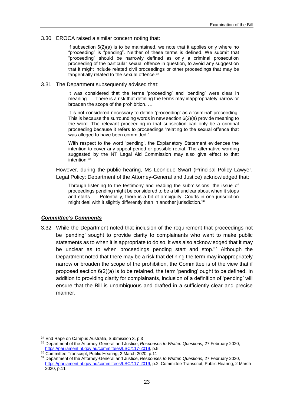3.30 EROCA raised a similar concern noting that:

If subsection  $6(2)(a)$  is to be maintained, we note that it applies only where no "proceeding" is "pending". Neither of these terms is defined. We submit that "proceeding" should be narrowly defined as only a criminal prosecution proceeding of the particular sexual offence in question, to avoid any suggestion that it might include related civil proceedings or other proceedings that may be tangentially related to the sexual offence.<sup>34</sup>

3.31 The Department subsequently advised that:

It was considered that the terms 'proceeding' and 'pending' were clear in meaning. … There is a risk that defining the terms may inappropriately narrow or broaden the scope of the prohibition. …

It is not considered necessary to define 'proceeding' as a 'criminal' proceeding. This is because the surrounding words in new section 6(2)(a) provide meaning to the word. The relevant proceeding in that subsection can only be a criminal proceeding because it refers to proceedings 'relating to the sexual offence that was alleged to have been committed.'

With respect to the word 'pending', the Explanatory Statement evidences the intention to cover any appeal period or possible retrial. The alternative wording suggested by the NT Legal Aid Commission may also give effect to that intention.<sup>35</sup>

However, during the public hearing, Ms Leonique Swart (Principal Policy Lawyer, Legal Policy: Department of the Attorney-General and Justice) acknowledged that:

Through listening to the testimony and reading the submissions, the issue of proceedings pending might be considered to be a bit unclear about when it stops and starts. … Potentially, there is a bit of ambiguity. Courts in one jurisdiction might deal with it slightly differently than in another jurisdiction.<sup>36</sup>

#### *Committee's Comments*

1

3.32 While the Department noted that inclusion of the requirement that proceedings not be 'pending' sought to provide clarity to complainants who want to make public statements as to when it is appropriate to do so, it was also acknowledged that it may be unclear as to when proceedings pending start and stop.<sup>37</sup> Although the Department noted that there may be a risk that defining the term may inappropriately narrow or broaden the scope of the prohibition, the Committee is of the view that if proposed section 6(2)(a) is to be retained, the term 'pending' ought to be defined. In addition to providing clarity for complainants, inclusion of a definition of 'pending' will ensure that the Bill is unambiguous and drafted in a sufficiently clear and precise manner.

<sup>34</sup> End Rape on Campus Australia, Submission 3, p.3

<sup>35</sup> Department of the Attorney-General and Justice, *Responses to Written Questions,* 27 February 2020, [https://parliament.nt.gov.au/committees/LSC/117-2019,](https://parliament.nt.gov.au/committees/LSC/117-2019) p.5

<sup>36</sup> Committee Transcript, Public Hearing, 2 March 2020, p.11

<sup>37</sup> Department of the Attorney-General and Justice, *Responses to Written Questions,* 27 February 2020, [https://parliament.nt.gov.au/committees/LSC/117-2019,](https://parliament.nt.gov.au/committees/LSC/117-2019) p.2; Committee Transcript, Public Hearing, 2 March 2020, p.11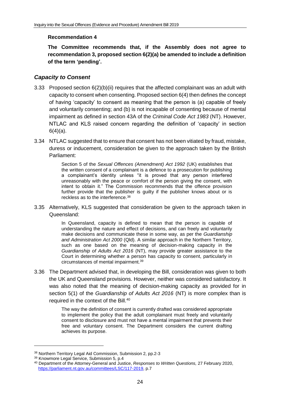#### <span id="page-23-1"></span>**Recommendation 4**

<span id="page-23-2"></span>**The Committee recommends that, if the Assembly does not agree to recommendation 3, proposed section 6(2)(a) be amended to include a definition of the term 'pending'.**

#### <span id="page-23-0"></span>*Capacity to Consent*

- 3.33 Proposed section 6(2)(b)(ii) requires that the affected complainant was an adult with capacity to consent when consenting. Proposed section 6(4) then defines the concept of having 'capacity' to consent as meaning that the person is (a) capable of freely and voluntarily consenting; and (b) is not incapable of consenting because of mental impairment as defined in section 43A of the *Criminal Code Act 1983* (NT). However, NTLAC and KLS raised concern regarding the definition of 'capacity' in section  $6(4)(a)$ .
- 3.34 NTLAC suggested that to ensure that consent has not been vitiated by fraud, mistake, duress or inducement, consideration be given to the approach taken by the British Parliament:

Section 5 of the *Sexual Offences (Amendment) Act 1992* (UK) establishes that the written consent of a complainant is a defence to a prosecution for publishing a complainant's identity unless "it is proved that any person interfered unreasonably with the peace or comfort of the person giving the consent, with intent to obtain it." The Commission recommends that the offence provision further provide that the publisher is guilty if the publisher knows about or is reckless as to the interference.<sup>38</sup>

3.35 Alternatively, KLS suggested that consideration be given to the approach taken in Queensland:

> In Queensland, capacity is defined to mean that the person is capable of understanding the nature and effect of decisions, and can freely and voluntarily make decisions and communicate these in some way, as per the *Guardianship and Administration Act 2000* (Qld). A similar approach in the Northern Territory, such as one based on the meaning of decision-making capacity in the *Guardianship of Adults Act 2016* (NT), may provide greater assistance to the Court in determining whether a person has capacity to consent, particularly in circumstances of mental impairment.<sup>39</sup>

3.36 The Department advised that, in developing the Bill, consideration was given to both the UK and Queensland provisions. However, neither was considered satisfactory. It was also noted that the meaning of decision-making capacity as provided for in section 5(1) of the *Guardianship of Adults Act 2016* (NT) is more complex than is required in the context of the Bill.<sup>40</sup>

> The way the definition of consent is currently drafted was considered appropriate to implement the policy that the adult complainant must freely and voluntarily consent to disclosure and must not have a mental impairment that prevents their free and voluntary consent. The Department considers the current drafting achieves its purpose.

<sup>38</sup> Northern Territory Legal Aid Commission, Submission 2, pp.2-3

<sup>39</sup> Knowmore Legal Service, Submission 5, p.4

<sup>40</sup> Department of the Attorney-General and Justice, *Responses to Written Questions,* 27 February 2020, [https://parliament.nt.gov.au/committees/LSC/117-2019,](https://parliament.nt.gov.au/committees/LSC/117-2019) p.7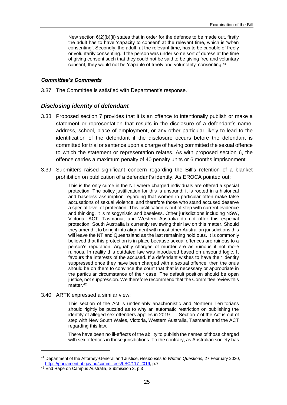New section  $6(2)(b)(ii)$  states that in order for the defence to be made out, firstly the adult has to have 'capacity to consent' at the relevant time, which is 'when consenting'. Secondly, the adult, at the relevant time, has to be capable of freely or voluntarily consenting. If the person was under some sort of duress at the time of giving consent such that they could not be said to be giving free and voluntary consent, they would not be 'capable of freely and voluntarily' consenting.<sup>41</sup>

#### *Committee's Comments*

3.37 The Committee is satisfied with Department's response.

#### <span id="page-24-0"></span>*Disclosing identity of defendant*

- 3.38 Proposed section 7 provides that it is an offence to intentionally publish or make a statement or representation that results in the disclosure of a defendant's name, address, school, place of employment, or any other particular likely to lead to the identification of the defendant if the disclosure occurs before the defendant is committed for trial or sentence upon a charge of having committed the sexual offence to which the statement or representation relates. As with proposed section 6, the offence carries a maximum penalty of 40 penalty units or 6 months imprisonment.
- 3.39 Submitters raised significant concern regarding the Bill's retention of a blanket prohibition on publication of a defendant's identity. As EROCA pointed out:

This is the only crime in the NT where charged individuals are offered a special protection. The policy justification for this is unsound; it is rooted in a historical and baseless assumption regarding that women in particular often make false accusations of sexual violence, and therefore those who stand accused deserve a special level of protection. This justification is out of step with current evidence and thinking. It is misogynistic and baseless. Other jurisdictions including NSW, Victoria, ACT, Tasmania, and Western Australia do not offer this especial protection. South Australia is currently reviewing their law on this matter. Should they amend it to bring it into alignment with most other Australian jurisdictions this will leave the NT and Queensland as the last remaining hold outs. It is commonly believed that this protection is in place because sexual offences are ruinous to a person's reputation. Arguably charges of murder are as ruinous if not more ruinous. In reality this outdated law was introduced based on unsound logic. It favours the interests of the accused. If a defendant wishes to have their identity suppressed once they have been charged with a sexual offence, then the onus should be on them to convince the court that that is necessary or appropriate in the particular circumstance of their case. The default position should be open justice, not suppression. We therefore recommend that the Committee review this matter.<sup>42</sup>

#### 3.40 ARTK expressed a similar view:

This section of the Act is undeniably anachronistic and Northern Territorians should rightly be puzzled as to why an automatic restriction on publishing the identity of alleged sex offenders applies in 2019. … Section 7 of the Act is out of step with New South Wales, Victoria, Western Australia, Tasmania and the ACT regarding this law.

There have been no ill-effects of the ability to publish the names of those charged with sex offences in those jurisdictions. To the contrary, as Australian society has

-

<sup>41</sup> Department of the Attorney-General and Justice, *Responses to Written Questions,* 27 February 2020, [https://parliament.nt.gov.au/committees/LSC/117-2019,](https://parliament.nt.gov.au/committees/LSC/117-2019) p.7

<sup>42</sup> End Rape on Campus Australia, Submission 3, p.3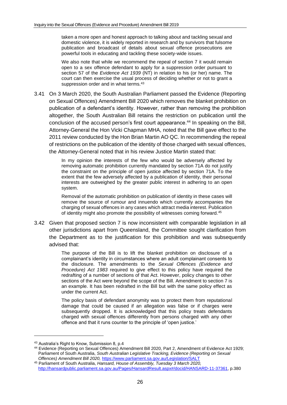taken a more open and honest approach to talking about and tackling sexual and domestic violence, it is widely reported in research and by survivors that fulsome publication and broadcast of details about sexual offence prosecutions are powerful tools in educating and tackling these society-wide issues.

We also note that while we recommend the repeal of section 7 it would remain open to a sex offence defendant to apply for a suppression order pursuant to section 57 of the *Evidence Act 1939* (NT) in relation to his (or her) name. The court can then exercise the usual process of deciding whether or not to grant a suppression order and in what terms.<sup>43</sup>

3.41 On 3 March 2020, the South Australian Parliament passed the Evidence (Reporting on Sexual Offences) Amendment Bill 2020 which removes the blanket prohibition on publication of a defendant's identity. However, rather than removing the prohibition altogether, the South Australian Bill retains the restriction on publication until the conclusion of the accused person's first court appearance. <sup>44</sup> In speaking on the Bill, Attorney-General the Hon Vicki Chapman MHA, noted that the Bill gave effect to the 2011 review conducted by the Hon Brian Martin AO QC. In recommending the repeal of restrictions on the publication of the identity of those charged with sexual offences, the Attorney-General noted that in his review Justice Martin stated that:

> In my opinion the interests of the few who would be adversely affected by removing automatic prohibition currently mandated by section 71A do not justify the constraint on the principle of open justice affected by section 71A. To the extent that the few adversely affected by a publication of identity, their personal interests are outweighed by the greater public interest in adhering to an open system.

> Removal of the automatic prohibition on publication of identity in these cases will remove the source of rumour and innuendo which currently accompanies the charging of sexual offences in any cases which attract media interest. Publication of identity might also promote the possibility of witnesses coming forward.<sup>45</sup>

3.42 Given that proposed section 7 is now inconsistent with comparable legislation in all other jurisdictions apart from Queensland, the Committee sought clarification from the Department as to the justification for this prohibition and was subsequently advised that:

> The purpose of the Bill is to lift the blanket prohibition on disclosure of a complainant's identity in circumstances where an adult complainant consents to the disclosure. The amendments to the *Sexual Offences (Evidence and Procedure) Act 1983* required to give effect to this policy have required the redrafting of a number of sections of that Act. However, policy changes to other sections of the Act were beyond the scope of the Bill. Amendment to section 7 is an example. It has been redrafted in the Bill but with the same policy effect as under the current Act.

> The policy basis of defendant anonymity was to protect them from reputational damage that could be caused if an allegation was false or if charges were subsequently dropped. It is acknowledged that this policy treats defendants charged with sexual offences differently from persons charged with any other offence and that it runs counter to the principle of 'open justice.'

<sup>43</sup> Australia's Right to Know, Submission 8, p.4

<sup>44</sup> Evidence (Reporting on Sexual Offences) Amendment Bill 2020, Part 2, Amendment of Evidence Act 1929; Parliament of South Australia, *South Australian Legislative Tracking, Evidence (Reporting on Sexual Offences) Amendment Bill 2020,* <https://www.parliament.sa.gov.au/Legislation/SALT>

<sup>45</sup> Parliament of South Australia, *Hansard, House of Assembly, Tuesday 3 March 2020,*  [http://hansardpublic.parliament.sa.gov.au/Pages/HansardResult.aspx#/docid/HANSARD-11-37361,](http://hansardpublic.parliament.sa.gov.au/Pages/HansardResult.aspx#/docid/HANSARD-11-37361) p.380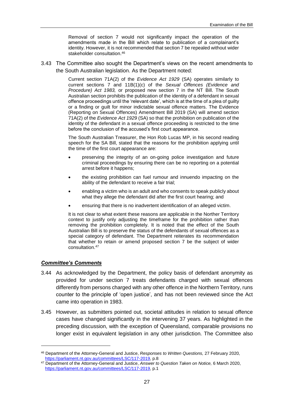Removal of section 7 would not significantly impact the operation of the amendments made in the Bill which relate to publication of a complainant's identity. However, it is not recommended that section 7 be repealed without wider stakeholder consultation.<sup>46</sup>

3.43 The Committee also sought the Department's views on the recent amendments to the South Australian legislation. As the Department noted:

> Current section 71A(2) of the *Evidence Act 1929* (SA) operates similarly to current sections 7 and 11B(1)(c) of the *Sexual Offences (Evidence and Procedure) Act 1983,* or proposed new section 7 in the NT Bill. The South Australian section prohibits the publication of the identity of a defendant in sexual offence proceedings until the 'relevant date', which is at the time of a plea of guilty or a finding or guilt for minor indictable sexual offence matters. The Evidence (Reporting on Sexual Offences) Amendment Bill 2019 (SA) will amend section 71A(2) of the *Evidence Act 1929* (SA) so that the prohibition on publication of the identity of the defendant in a sexual offence proceeding is restricted to the time before the conclusion of the accused's first court appearance.

> The South Australian Treasurer, the Hon Rob Lucas MP, in his second reading speech for the SA Bill, stated that the reasons for the prohibition applying until the time of the first court appearance are:

- preserving the integrity of an on-going police investigation and future criminal proceedings by ensuring there can be no reporting on a potential arrest before it happens;
- the existing prohibition can fuel rumour and innuendo impacting on the ability of the defendant to receive a fair trial;
- enabling a victim who is an adult and who consents to speak publicly about what they allege the defendant did after the first court hearing; and
- ensuring that there is no inadvertent identification of an alleged victim.

It is not clear to what extent these reasons are applicable in the Norther Territory context to justify only adjusting the timeframe for the prohibition rather than removing the prohibition completely. It is noted that the effect of the South Australian Bill is to preserve the status of the defendants of sexual offences as a special category of defendant. The Department reiterates its recommendation that whether to retain or amend proposed section 7 be the subject of wider consultation.<sup>47</sup>

#### *Committee's Comments*

- 3.44 As acknowledged by the Department, the policy basis of defendant anonymity as provided for under section 7 treats defendants charged with sexual offences differently from persons charged with any other offence in the Northern Territory, runs counter to the principle of 'open justice', and has not been reviewed since the Act came into operation in 1983.
- 3.45 However, as submitters pointed out, societal attitudes in relation to sexual offence cases have changed significantly in the intervening 37 years. As highlighted in the preceding discussion, with the exception of Queensland, comparable provisions no longer exist in equivalent legislation in any other jurisdiction. The Committee also

<sup>46</sup> Department of the Attorney-General and Justice, *Responses to Written Questions,* 27 February 2020, [https://parliament.nt.gov.au/committees/LSC/117-2019,](https://parliament.nt.gov.au/committees/LSC/117-2019) p.8

<sup>47</sup> Department of the Attorney-General and Justice, *Answer to Question Taken on Notice,* 6 March 2020, [https://parliament.nt.gov.au/committees/LSC/117-2019,](https://parliament.nt.gov.au/committees/LSC/117-2019) p.1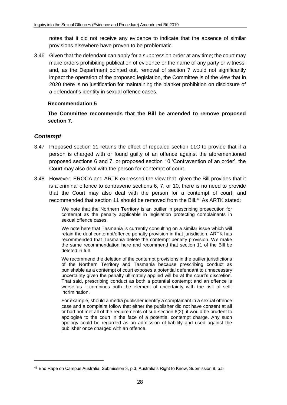notes that it did not receive any evidence to indicate that the absence of similar provisions elsewhere have proven to be problematic.

3.46 Given that the defendant can apply for a suppression order at any time; the court may make orders prohibiting publication of evidence or the name of any party or witness; and, as the Department pointed out, removal of section 7 would not significantly impact the operation of the proposed legislation, the Committee is of the view that in 2020 there is no justification for maintaining the blanket prohibition on disclosure of a defendant's identity in sexual offence cases.

#### <span id="page-27-1"></span>**Recommendation 5**

<span id="page-27-2"></span>**The Committee recommends that the Bill be amended to remove proposed section 7.**

#### <span id="page-27-0"></span>*Contempt*

- 3.47 Proposed section 11 retains the effect of repealed section 11C to provide that if a person is charged with or found guilty of an offence against the aforementioned proposed sections 6 and 7, or proposed section 10 'Contravention of an order', the Court may also deal with the person for contempt of court.
- 3.48 However, EROCA and ARTK expressed the view that, given the Bill provides that it is a criminal offence to contravene sections 6, 7, or 10, there is no need to provide that the Court may also deal with the person for a contempt of court, and recommended that section 11 should be removed from the Bill.<sup>48</sup> As ARTK stated:

We note that the Northern Territory is an outlier in prescribing prosecution for contempt as the penalty applicable in legislation protecting complainants in sexual offence cases.

We note here that Tasmania is currently consulting on a similar issue which will retain the dual contempt/offence penalty provision in that jurisdiction. ARTK has recommended that Tasmania delete the contempt penalty provision. We make the same recommendation here and recommend that section 11 of the Bill be deleted in full.

We recommend the deletion of the contempt provisions in the outlier jurisdictions of the Northern Territory and Tasmania because prescribing conduct as punishable as a contempt of court exposes a potential defendant to unnecessary uncertainty given the penalty ultimately applied will be at the court's discretion. That said, prescribing conduct as both a potential contempt and an offence is worse as it combines both the element of uncertainty with the risk of selfincrimination.

For example, should a media publisher identify a complainant in a sexual offence case and a complaint follow that either the publisher did not have consent at all or had not met all of the requirements of sub-section 6(2), it would be prudent to apologise to the court in the face of a potential contempt charge. Any such apology could be regarded as an admission of liability and used against the publisher once charged with an offence.

<sup>48</sup> End Rape on Campus Australia, Submission 3, p.3; Australia's Right to Know, Submission 8, p.5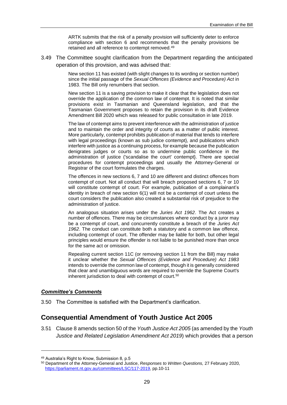ARTK submits that the risk of a penalty provision will sufficiently deter to enforce compliance with section 6 and recommends that the penalty provisions be retained and all reference to contempt removed.<sup>49</sup>

3.49 The Committee sought clarification from the Department regarding the anticipated operation of this provision, and was advised that:

> New section 11 has existed (with slight changes to its wording or section number) since the initial passage of the *Sexual Offences (Evidence and Procedure) Act* in 1983. The Bill only renumbers that section.

> New section 11 is a saving provision to make it clear that the legislation does not override the application of the common law of contempt. It is noted that similar provisions exist in Tasmanian and Queensland legislation, and that the Tasmanian Government proposes to retain the provision in its draft Evidence Amendment Bill 2020 which was released for public consultation in late 2019.

> The law of contempt aims to prevent interference with the administration of justice and to maintain the order and integrity of courts as a matter of public interest. More particularly, contempt prohibits publication of material that tends to interfere with legal proceedings (known as sub judice contempt), and publications which interfere with justice as a continuing process, for example because the publication denigrates judges or courts so as to undermine public confidence in the administration of justice ('scandalise the court' contempt}. There are special procedures for contempt proceedings and usually the Attorney-General or Registrar of the court formulates the charges.

> The offences in new sections 6, 7 and 10 are different and distinct offences from contempt of court. Not all conduct that will breach proposed sections 6, 7 or 10 will constitute contempt of court. For example, publication of a complainant's identity in breach of new section 6(1) will not be a contempt of court unless the court considers the publication also created a substantial risk of prejudice to the administration of justice.

> An analogous situation arises under the *Juries Act 1962*. The Act creates a number of offences. There may be circumstances where conduct by a juror may be a contempt of court, and concurrently constitute a breach of the *Juries Act 1962*. The conduct can constitute both a statutory and a common law offence, including contempt of court. The offender may be liable for both, but other legal principles would ensure the offender is not liable to be punished more than once for the same act or omission.

> Repealing current section 11C (or removing section 11 from the Bill) may make it unclear whether the *Sexual Offences (Evidence and Procedure) Act 1983*  intends to override the common law of contempt, though it is generally considered that clear and unambiguous words are required to override the Supreme Court's inherent jurisdiction to deal with contempt of court.<sup>50</sup>

#### *Committee's Comments*

-

3.50 The Committee is satisfied with the Department's clarification.

### <span id="page-28-0"></span>**Consequential Amendment of Youth Justice Act 2005**

3.51 Clause 8 amends section 50 of the *Youth Justice Act 2005* (as amended by the *Youth Justice and Related Legislation Amendment Act 2019*) which provides that a person

<sup>49</sup> Australia's Right to Know, Submission 8, p.5

<sup>50</sup> Department of the Attorney-General and Justice, *Responses to Written Questions,* 27 February 2020, [https://parliament.nt.gov.au/committees/LSC/117-2019,](https://parliament.nt.gov.au/committees/LSC/117-2019) pp.10-11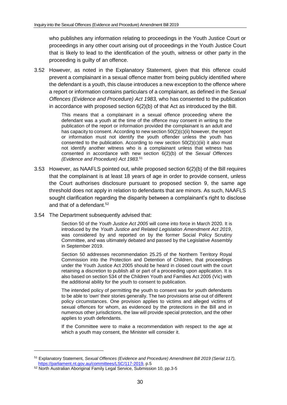who publishes any information relating to proceedings in the Youth Justice Court or proceedings in any other court arising out of proceedings in the Youth Justice Court that is likely to lead to the identification of the youth, witness or other party in the proceeding is guilty of an offence.

3.52 However, as noted in the Explanatory Statement, given that this offence could prevent a complainant in a sexual offence matter from being publicly identified where the defendant is a youth, this clause introduces a new exception to the offence where a report or information contains particulars of a complainant, as defined in the *Sexual Offences (Evidence and Procedure) Act 1983,* who has consented to the publication in accordance with proposed section 6(2)(b) of that Act as introduced by the Bill.

> This means that a complainant in a sexual offence proceeding where the defendant was a youth at the time of the offence may consent in writing to the publication of the report or information provided the complainant is an adult and has capacity to consent. According to new section 50(2)(c)(ii) however, the report or information must not identify the youth offender unless the youth has consented to the publication. According to new section  $50(2)(c)(iii)$  it also must not identify another witness who is a complainant unless that witness has consented in accordance with new section 6(2)(b) of the *Sexual Offences (Evidence and Procedure) Act 1983.*<sup>51</sup>

- 3.53 However, as NAAFLS pointed out, while proposed section 6(2)(b) of the Bill requires that the complainant is at least 18 years of age in order to provide consent, unless the Court authorises disclosure pursuant to proposed section 9, the same age threshold does not apply in relation to defendants that are minors. As such, NAAFLS sought clarification regarding the disparity between a complainant's right to disclose and that of a defendant. 52
- 3.54 The Department subsequently advised that:

Section 50 of the *Youth Justice Act 2005* will come into force in March 2020. It is introduced by the *Youth Justice and Related Legislation Amendment Act 2019*, was considered by and reported on by the former Social Policy Scrutiny Committee, and was ultimately debated and passed by the Legislative Assembly in September 2019.

Section 50 addresses recommendation 25.25 of the Northern Territory Royal Commission into the Protection and Detention of Children, that proceedings under the Youth Justice Act 2005 should be heard in closed court with the court retaining a discretion to publish all or part of a proceeding upon application. It is also based on section 534 of the Children Youth and Families Act 2005 (Vic) with the additional ability for the youth to consent to publication.

The intended policy of permitting the youth to consent was for youth defendants to be able to 'own' their stories generally. The two provisions arise out of different policy circumstances. One provision applies to victims and alleged victims of sexual offences for whom, as evidenced by the protections in the Bill and in numerous other jurisdictions, the law will provide special protection, and the other applies to youth defendants.

If the Committee were to make a recommendation with respect to the age at which a youth may consent, the Minister will consider it.

 $\overline{a}$ 

<sup>51</sup> Explanatory Statement, *Sexual Offences (Evidence and Procedure) Amendment Bill 2019 (Serial 117),*  [https://parliament.nt.gov.au/committees/LSC/117-2019,](https://parliament.nt.gov.au/committees/LSC/117-2019) p.5

<sup>52</sup> North Australian Aboriginal Family Legal Service, Submission 10, pp.3-5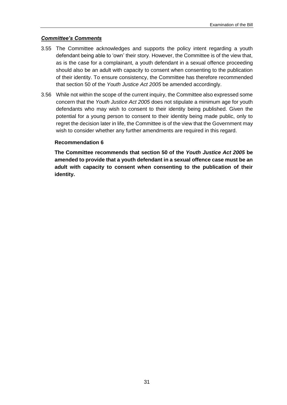#### *Committee's Comments*

- 3.55 The Committee acknowledges and supports the policy intent regarding a youth defendant being able to 'own' their story. However, the Committee is of the view that, as is the case for a complainant, a youth defendant in a sexual offence proceeding should also be an adult with capacity to consent when consenting to the publication of their identity. To ensure consistency, the Committee has therefore recommended that section 50 of the *Youth Justice Act 2005* be amended accordingly.
- 3.56 While not within the scope of the current inquiry, the Committee also expressed some concern that the *Youth Justice Act 2005* does not stipulate a minimum age for youth defendants who may wish to consent to their identity being published. Given the potential for a young person to consent to their identity being made public, only to regret the decision later in life, the Committee is of the view that the Government may wish to consider whether any further amendments are required in this regard.

#### <span id="page-30-0"></span>**Recommendation 6**

<span id="page-30-1"></span>**The Committee recommends that section 50 of the** *Youth Justice Act 2005* **be amended to provide that a youth defendant in a sexual offence case must be an adult with capacity to consent when consenting to the publication of their identity.**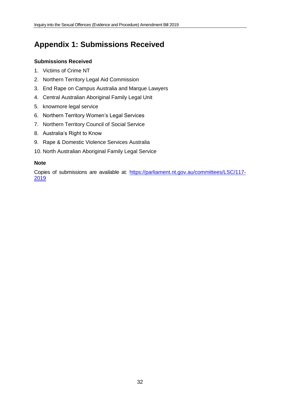## <span id="page-31-0"></span>**Appendix 1: Submissions Received**

#### **Submissions Received**

- 1. Victims of Crime NT
- 2. Northern Territory Legal Aid Commission
- 3. End Rape on Campus Australia and Marque Lawyers
- 4. Central Australian Aboriginal Family Legal Unit
- 5. knowmore legal service
- 6. Northern Territory Women's Legal Services
- 7. Northern Territory Council of Social Service
- 8. Australia's Right to Know
- 9. Rape & Domestic Violence Services Australia
- 10. North Australian Aboriginal Family Legal Service

#### **Note**

Copies of submissions are available at: [https://parliament.nt.gov.au/committees/LSC/117-](https://parliament.nt.gov.au/committees/LSC/117-2019) [2019](https://parliament.nt.gov.au/committees/LSC/117-2019)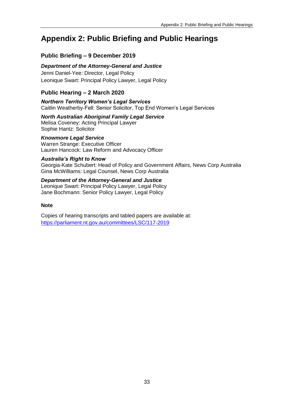## <span id="page-32-0"></span>**Appendix 2: Public Briefing and Public Hearings**

### **Public Briefing – 9 December 2019**

#### *Department of the Attorney-General and Justice*

Jenni Daniel-Yee: Director, Legal Policy Leonique Swart: Principal Policy Lawyer, Legal Policy

#### **Public Hearing – 2 March 2020**

*Northern Territory Women's Legal Services* Caitlin Weatherby-Fell: Senior Solicitor, Top End Women's Legal Services

#### *North Australian Aboriginal Family Legal Service* Melisa Coveney: Acting Principal Lawyer

Sophie Hantz: Solicitor

#### *Knowmore Legal Service*

Warren Strange: Executive Officer Lauren Hancock: Law Reform and Advocacy Officer

#### *Australia's Right to Know*

Georgia-Kate Schubert: Head of Policy and Government Affairs, News Corp Australia Gina McWilliams: Legal Counsel, News Corp Australia

#### *Department of the Attorney-General and Justice* Leonique Swart: Principal Policy Lawyer, Legal Policy Jane Bochmann: Senior Policy Lawyer, Legal Policy

#### **Note**

Copies of hearing transcripts and tabled papers are available at: <https://parliament.nt.gov.au/committees/LSC/117-2019>